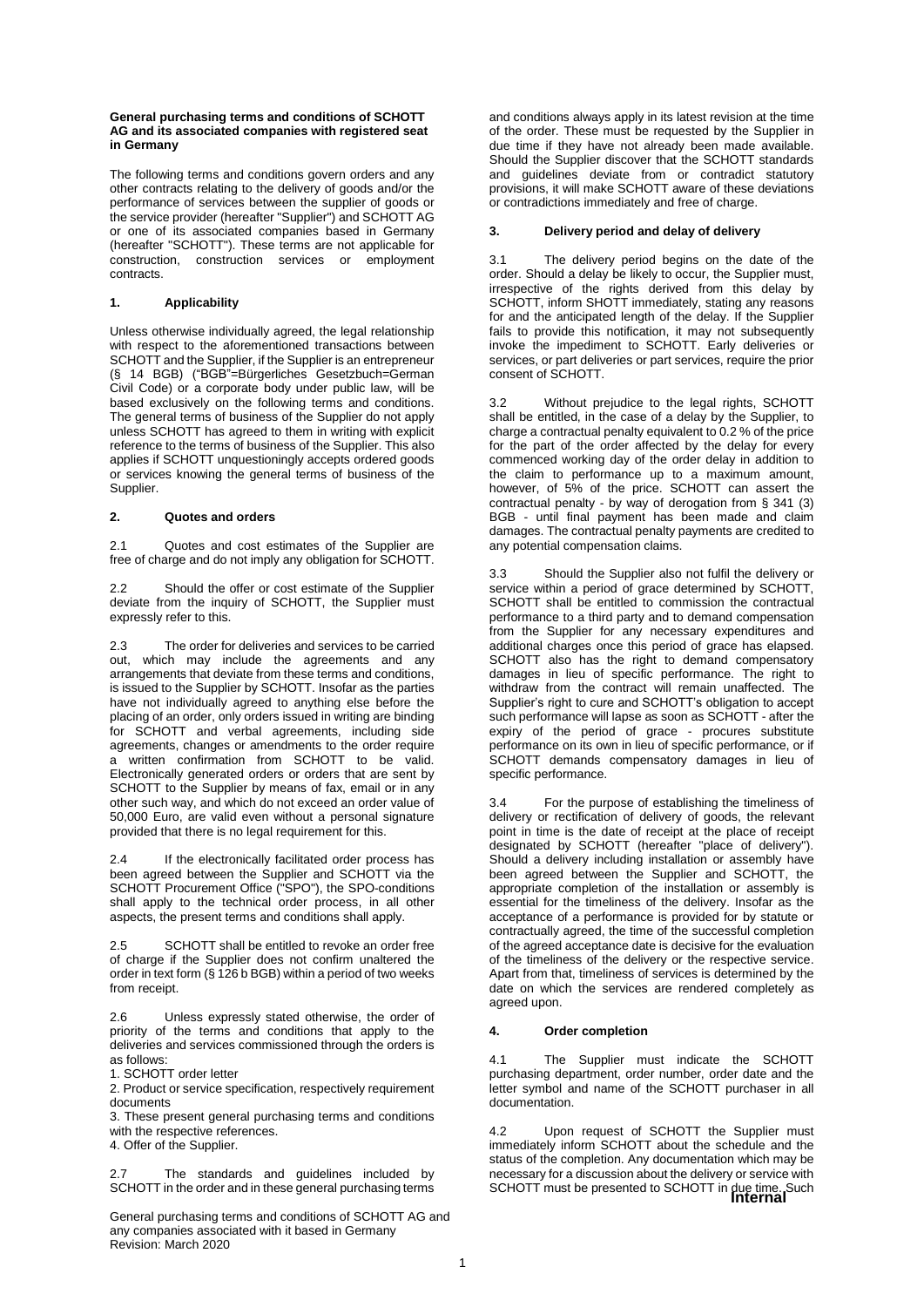#### **General purchasing terms and conditions of SCHOTT AG and its associated companies with registered seat in Germany**

The following terms and conditions govern orders and any other contracts relating to the delivery of goods and/or the performance of services between the supplier of goods or the service provider (hereafter "Supplier") and SCHOTT AG or one of its associated companies based in Germany (hereafter "SCHOTT"). These terms are not applicable for construction, construction services or employment contracts.

### **1. Applicability**

Unless otherwise individually agreed, the legal relationship with respect to the aforementioned transactions between SCHOTT and the Supplier, if the Supplier is an entrepreneur (§ 14 BGB) ("BGB"=Bürgerliches Gesetzbuch=German Civil Code) or a corporate body under public law, will be based exclusively on the following terms and conditions. The general terms of business of the Supplier do not apply unless SCHOTT has agreed to them in writing with explicit reference to the terms of business of the Supplier. This also applies if SCHOTT unquestioningly accepts ordered goods or services knowing the general terms of business of the Supplier.

#### **2. Quotes and orders**

2.1 Quotes and cost estimates of the Supplier are free of charge and do not imply any obligation for SCHOTT.

2.2 Should the offer or cost estimate of the Supplier deviate from the inquiry of SCHOTT, the Supplier must expressly refer to this.

2.3 The order for deliveries and services to be carried out, which may include the agreements and any arrangements that deviate from these terms and conditions, is issued to the Supplier by SCHOTT. Insofar as the parties have not individually agreed to anything else before the placing of an order, only orders issued in writing are binding for SCHOTT and verbal agreements, including side agreements, changes or amendments to the order require a written confirmation from SCHOTT to be valid. Electronically generated orders or orders that are sent by SCHOTT to the Supplier by means of fax, email or in any other such way, and which do not exceed an order value of 50,000 Euro, are valid even without a personal signature provided that there is no legal requirement for this.

2.4 If the electronically facilitated order process has been agreed between the Supplier and SCHOTT via the SCHOTT Procurement Office ("SPO"), the SPO-conditions shall apply to the technical order process, in all other aspects, the present terms and conditions shall apply.

SCHOTT shall be entitled to revoke an order free of charge if the Supplier does not confirm unaltered the order in text form (§ 126 b BGB) within a period of two weeks from receipt.

2.6 Unless expressly stated otherwise, the order of priority of the terms and conditions that apply to the deliveries and services commissioned through the orders is as follows:

1. SCHOTT order letter

2. Product or service specification, respectively requirement documents

3. These present general purchasing terms and conditions with the respective references.

4. Offer of the Supplier.

2.7 The standards and guidelines included by SCHOTT in the order and in these general purchasing terms

General purchasing terms and conditions of SCHOTT AG and any companies associated with it based in Germany Revision: March 2020

and conditions always apply in its latest revision at the time of the order. These must be requested by the Supplier in due time if they have not already been made available. Should the Supplier discover that the SCHOTT standards and guidelines deviate from or contradict statutory provisions, it will make SCHOTT aware of these deviations or contradictions immediately and free of charge.

#### **3. Delivery period and delay of delivery**

3.1 The delivery period begins on the date of the order. Should a delay be likely to occur, the Supplier must, irrespective of the rights derived from this delay by **SCHOTT, inform SHOTT immediately, stating any reasons** for and the anticipated length of the delay. If the Supplier fails to provide this notification, it may not subsequently invoke the impediment to SCHOTT. Early deliveries or services, or part deliveries or part services, require the prior consent of SCHOTT.

3.2 Without prejudice to the legal rights, SCHOTT shall be entitled, in the case of a delay by the Supplier, to charge a contractual penalty equivalent to 0.2 % of the price for the part of the order affected by the delay for every commenced working day of the order delay in addition to the claim to performance up to a maximum amount, however, of 5% of the price. SCHOTT can assert the contractual penalty - by way of derogation from § 341 (3) BGB - until final payment has been made and claim damages. The contractual penalty payments are credited to any potential compensation claims.

3.3 Should the Supplier also not fulfil the delivery or service within a period of grace determined by SCHOTT. SCHOTT shall be entitled to commission the contractual performance to a third party and to demand compensation from the Supplier for any necessary expenditures and additional charges once this period of grace has elapsed. SCHOTT also has the right to demand compensatory damages in lieu of specific performance. The right to withdraw from the contract will remain unaffected. The Supplier's right to cure and SCHOTT's obligation to accept such performance will lapse as soon as SCHOTT - after the expiry of the period of grace - procures substitute performance on its own in lieu of specific performance, or if SCHOTT demands compensatory damages in lieu of specific performance.

3.4 For the purpose of establishing the timeliness of delivery or rectification of delivery of goods, the relevant point in time is the date of receipt at the place of receipt designated by SCHOTT (hereafter "place of delivery"). Should a delivery including installation or assembly have been agreed between the Supplier and SCHOTT, the appropriate completion of the installation or assembly is essential for the timeliness of the delivery. Insofar as the acceptance of a performance is provided for by statute or contractually agreed, the time of the successful completion of the agreed acceptance date is decisive for the evaluation of the timeliness of the delivery or the respective service. Apart from that, timeliness of services is determined by the date on which the services are rendered completely as agreed upon.

#### **4. Order completion**

4.1 The Supplier must indicate the SCHOTT purchasing department, order number, order date and the letter symbol and name of the SCHOTT purchaser in all documentation.

**SCHOTT must be presented to SCHOTT in due time. Such laternal** 4.2 Upon request of SCHOTT the Supplier must immediately inform SCHOTT about the schedule and the status of the completion. Any documentation which may be necessary for a discussion about the delivery or service with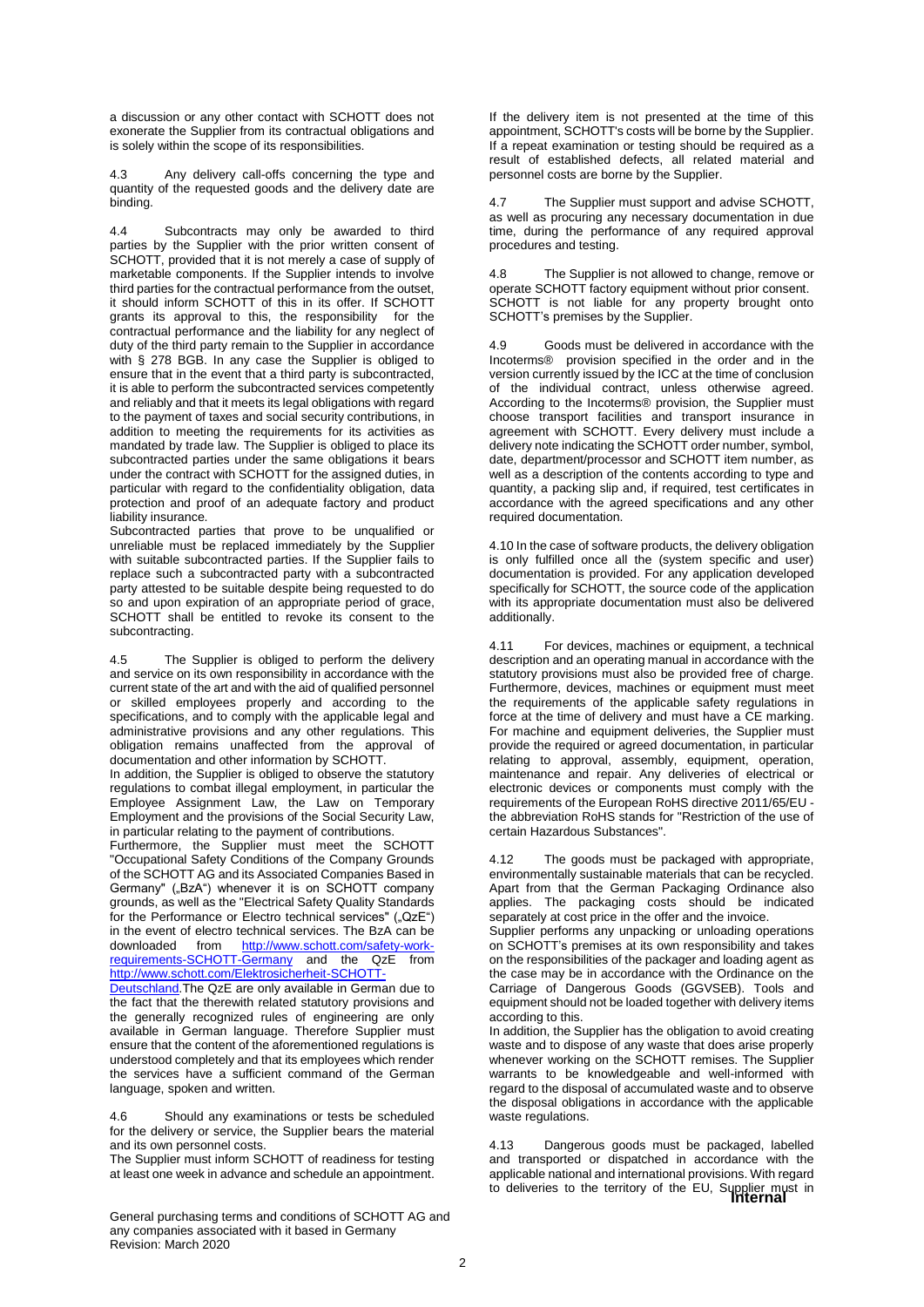a discussion or any other contact with SCHOTT does not exonerate the Supplier from its contractual obligations and is solely within the scope of its responsibilities.

4.3 Any delivery call-offs concerning the type and quantity of the requested goods and the delivery date are binding.

4.4 Subcontracts may only be awarded to third parties by the Supplier with the prior written consent of SCHOTT, provided that it is not merely a case of supply of marketable components. If the Supplier intends to involve third parties for the contractual performance from the outset, it should inform SCHOTT of this in its offer. If SCHOTT grants its approval to this, the responsibility for the contractual performance and the liability for any neglect of duty of the third party remain to the Supplier in accordance with § 278 BGB. In any case the Supplier is obliged to ensure that in the event that a third party is subcontracted, it is able to perform the subcontracted services competently and reliably and that it meets its legal obligations with regard to the payment of taxes and social security contributions, in addition to meeting the requirements for its activities as mandated by trade law. The Supplier is obliged to place its subcontracted parties under the same obligations it bears under the contract with SCHOTT for the assigned duties, in particular with regard to the confidentiality obligation, data protection and proof of an adequate factory and product liability insurance.

Subcontracted parties that prove to be unqualified or unreliable must be replaced immediately by the Supplier with suitable subcontracted parties. If the Supplier fails to replace such a subcontracted party with a subcontracted party attested to be suitable despite being requested to do so and upon expiration of an appropriate period of grace, SCHOTT shall be entitled to revoke its consent to the subcontracting.

4.5 The Supplier is obliged to perform the delivery and service on its own responsibility in accordance with the current state of the art and with the aid of qualified personnel or skilled employees properly and according to the specifications, and to comply with the applicable legal and administrative provisions and any other regulations. This obligation remains unaffected from the approval of documentation and other information by SCHOTT.

In addition, the Supplier is obliged to observe the statutory regulations to combat illegal employment, in particular the Employee Assignment Law, the Law on Temporary Employment and the provisions of the Social Security Law, in particular relating to the payment of contributions.

Furthermore, the Supplier must meet the SCHOTT "Occupational Safety Conditions of the Company Grounds of the SCHOTT AG and its Associated Companies Based in Germany" ("BzA") whenever it is on SCHOTT company grounds, as well as the "Electrical Safety Quality Standards for the Performance or Electro technical services" ("QzE") in the event of electro technical services. The BzA can be downloaded from [http://www.schott.com/safety-work](http://www.schott.com/safety-work-requirements-SCHOTT-Germany)[requirements-SCHOTT-Germany](http://www.schott.com/safety-work-requirements-SCHOTT-Germany) and the QzE from [http://www.schott.com/Elektrosicherheit-SCHOTT-](http://www.schott.com/Elektrosicherheit-SCHOTT-Deutschland)

Deutschland. The QzE are only available in German due to the fact that the therewith related statutory provisions and the generally recognized rules of engineering are only available in German language. Therefore Supplier must ensure that the content of the aforementioned regulations is understood completely and that its employees which render the services have a sufficient command of the German language, spoken and written.

4.6 Should any examinations or tests be scheduled for the delivery or service, the Supplier bears the material and its own personnel costs.

The Supplier must inform SCHOTT of readiness for testing at least one week in advance and schedule an appointment.

General purchasing terms and conditions of SCHOTT AG and any companies associated with it based in Germany Revision: March 2020

If the delivery item is not presented at the time of this appointment, SCHOTT's costs will be borne by the Supplier. If a repeat examination or testing should be required as a result of established defects, all related material and personnel costs are borne by the Supplier.

4.7 The Supplier must support and advise SCHOTT, as well as procuring any necessary documentation in due time, during the performance of any required approval procedures and testing.

4.8 The Supplier is not allowed to change, remove or operate SCHOTT factory equipment without prior consent. SCHOTT is not liable for any property brought onto SCHOTT's premises by the Supplier.

4.9 Goods must be delivered in accordance with the Incoterms® provision specified in the order and in the version currently issued by the ICC at the time of conclusion of the individual contract, unless otherwise agreed. According to the Incoterms® provision, the Supplier must choose transport facilities and transport insurance in agreement with SCHOTT. Every delivery must include a delivery note indicating the SCHOTT order number, symbol, date, department/processor and SCHOTT item number, as well as a description of the contents according to type and quantity, a packing slip and, if required, test certificates in accordance with the agreed specifications and any other required documentation.

4.10 In the case of software products, the delivery obligation is only fulfilled once all the (system specific and user) documentation is provided. For any application developed specifically for SCHOTT, the source code of the application with its appropriate documentation must also be delivered additionally.

4.11 For devices, machines or equipment, a technical description and an operating manual in accordance with the statutory provisions must also be provided free of charge. Furthermore, devices, machines or equipment must meet the requirements of the applicable safety regulations in force at the time of delivery and must have a CE marking. For machine and equipment deliveries, the Supplier must provide the required or agreed documentation, in particular relating to approval, assembly, equipment, operation, maintenance and repair. Any deliveries of electrical or electronic devices or components must comply with the requirements of the European RoHS directive 2011/65/EU the abbreviation RoHS stands for "Restriction of the use of certain Hazardous Substances".

4.12 The goods must be packaged with appropriate, environmentally sustainable materials that can be recycled. Apart from that the German Packaging Ordinance also applies. The packaging costs should be indicated separately at cost price in the offer and the invoice.

Supplier performs any unpacking or unloading operations on SCHOTT's premises at its own responsibility and takes on the responsibilities of the packager and loading agent as the case may be in accordance with the Ordinance on the Carriage of Dangerous Goods (GGVSEB). Tools and equipment should not be loaded together with delivery items according to this.

In addition, the Supplier has the obligation to avoid creating waste and to dispose of any waste that does arise properly whenever working on the SCHOTT remises. The Supplier warrants to be knowledgeable and well-informed with regard to the disposal of accumulated waste and to observe the disposal obligations in accordance with the applicable waste regulations.

to deliveries to the territory of the EU, Supplier must in<br>**Internal** 4.13 Dangerous goods must be packaged, labelled and transported or dispatched in accordance with the applicable national and international provisions. With regard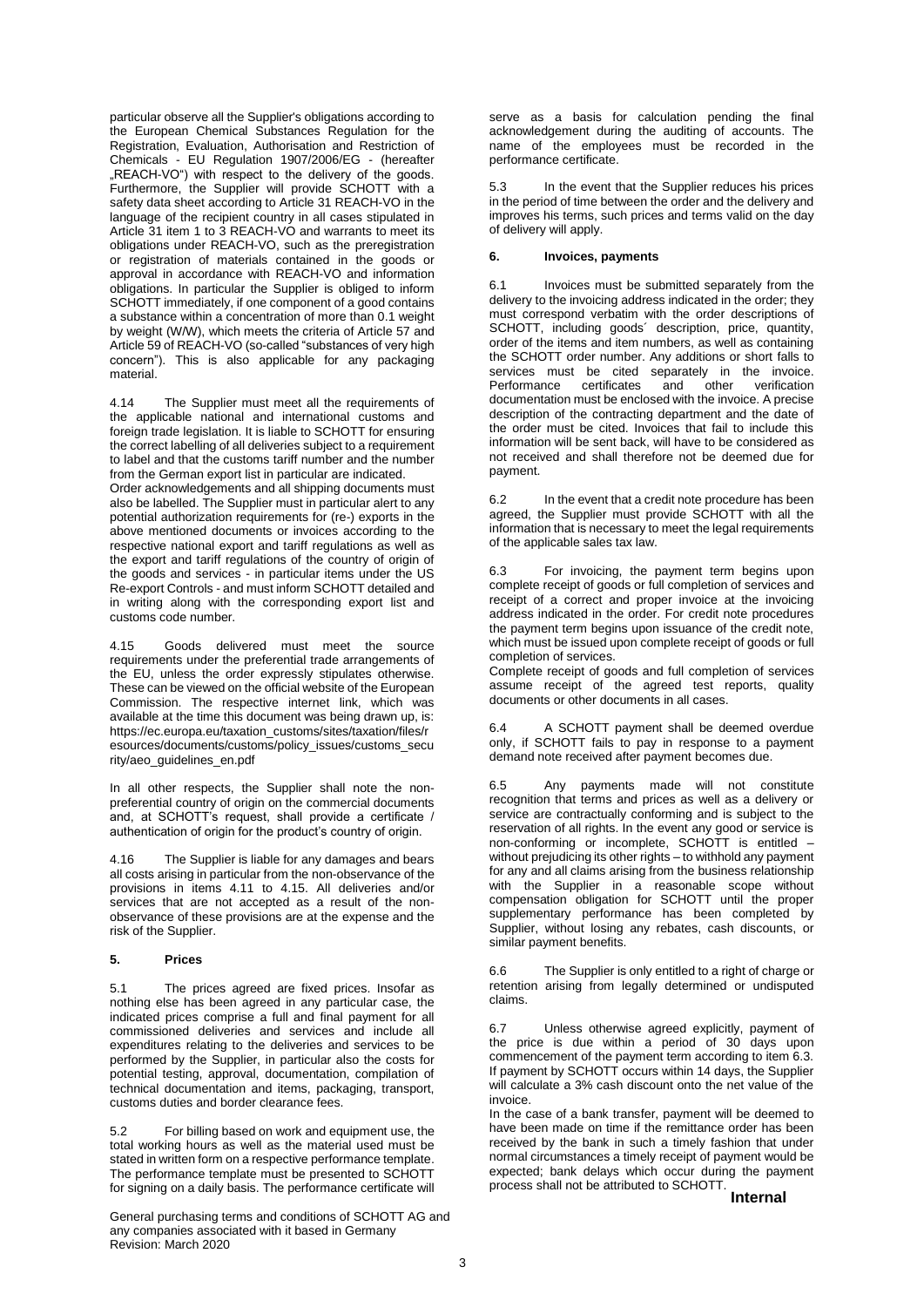particular observe all the Supplier's obligations according to the European Chemical Substances Regulation for the Registration, Evaluation, Authorisation and Restriction of Chemicals - EU Regulation 1907/2006/EG - (hereafter "REACH-VO") with respect to the delivery of the goods. Furthermore, the Supplier will provide SCHOTT with a safety data sheet according to Article 31 REACH-VO in the language of the recipient country in all cases stipulated in Article 31 item 1 to 3 REACH-VO and warrants to meet its obligations under REACH-VO, such as the preregistration or registration of materials contained in the goods or approval in accordance with REACH-VO and information obligations. In particular the Supplier is obliged to inform SCHOTT immediately, if one component of a good contains a substance within a concentration of more than 0.1 weight by weight (W/W), which meets the criteria of Article 57 and Article 59 of REACH-VO (so-called "substances of very high concern"). This is also applicable for any packaging material.

4.14 The Supplier must meet all the requirements of the applicable national and international customs and foreign trade legislation. It is liable to SCHOTT for ensuring the correct labelling of all deliveries subject to a requirement to label and that the customs tariff number and the number from the German export list in particular are indicated.

Order acknowledgements and all shipping documents must also be labelled. The Supplier must in particular alert to any potential authorization requirements for (re-) exports in the above mentioned documents or invoices according to the respective national export and tariff regulations as well as the export and tariff regulations of the country of origin of the goods and services - in particular items under the US Re-export Controls - and must inform SCHOTT detailed and in writing along with the corresponding export list and customs code number.

4.15 Goods delivered must meet the source requirements under the preferential trade arrangements of the EU, unless the order expressly stipulates otherwise. These can be viewed on the official website of the European Commission. The respective internet link, which was available at the time this document was being drawn up, is: https://ec.europa.eu/taxation\_customs/sites/taxation/files/r esources/documents/customs/policy\_issues/customs\_secu rity/aeo\_guidelines\_en.pdf

In all other respects, the Supplier shall note the nonpreferential country of origin on the commercial documents and, at SCHOTT's request, shall provide a certificate / authentication of origin for the product's country of origin.

4.16 The Supplier is liable for any damages and bears all costs arising in particular from the non-observance of the provisions in items 4.11 to 4.15. All deliveries and/or services that are not accepted as a result of the nonobservance of these provisions are at the expense and the risk of the Supplier.

#### **5. Prices**

5.1 The prices agreed are fixed prices. Insofar as nothing else has been agreed in any particular case, the indicated prices comprise a full and final payment for all commissioned deliveries and services and include all expenditures relating to the deliveries and services to be performed by the Supplier, in particular also the costs for potential testing, approval, documentation, compilation of technical documentation and items, packaging, transport, customs duties and border clearance fees.

5.2 For billing based on work and equipment use, the total working hours as well as the material used must be stated in written form on a respective performance template. The performance template must be presented to SCHOTT for signing on a daily basis. The performance certificate will

General purchasing terms and conditions of SCHOTT AG and any companies associated with it based in Germany Revision: March 2020

serve as a basis for calculation pending the final acknowledgement during the auditing of accounts. The name of the employees must be recorded in the performance certificate.

5.3 In the event that the Supplier reduces his prices in the period of time between the order and the delivery and improves his terms, such prices and terms valid on the day of delivery will apply.

#### **6. Invoices, payments**

6.1 Invoices must be submitted separately from the delivery to the invoicing address indicated in the order; they must correspond verbatim with the order descriptions of SCHOTT, including goods' description, price, quantity, order of the items and item numbers, as well as containing the SCHOTT order number. Any additions or short falls to services must be cited separately in the invoice.<br>Performance certificates and other verification **Performance** certificates documentation must be enclosed with the invoice. A precise description of the contracting department and the date of the order must be cited. Invoices that fail to include this information will be sent back, will have to be considered as not received and shall therefore not be deemed due for payment.

6.2 In the event that a credit note procedure has been agreed, the Supplier must provide SCHOTT with all the information that is necessary to meet the legal requirements of the applicable sales tax law.

6.3 For invoicing, the payment term begins upon complete receipt of goods or full completion of services and receipt of a correct and proper invoice at the invoicing address indicated in the order. For credit note procedures the payment term begins upon issuance of the credit note, which must be issued upon complete receipt of goods or full completion of services.

Complete receipt of goods and full completion of services assume receipt of the agreed test reports, quality documents or other documents in all cases.

6.4 A SCHOTT payment shall be deemed overdue only, if SCHOTT fails to pay in response to a payment demand note received after payment becomes due.

6.5 Any payments made will not constitute recognition that terms and prices as well as a delivery or service are contractually conforming and is subject to the reservation of all rights. In the event any good or service is non-conforming or incomplete, SCHOTT is entitled – without prejudicing its other rights – to withhold any payment for any and all claims arising from the business relationship with the Supplier in a reasonable scope without compensation obligation for SCHOTT until the proper supplementary performance has been completed by Supplier, without losing any rebates, cash discounts, or similar payment benefits.

6.6 The Supplier is only entitled to a right of charge or retention arising from legally determined or undisputed claims.

6.7 Unless otherwise agreed explicitly, payment of the price is due within a period of 30 days upon commencement of the payment term according to item 6.3. If payment by SCHOTT occurs within 14 days, the Supplier will calculate a 3% cash discount onto the net value of the invoice.

In the case of a bank transfer, payment will be deemed to have been made on time if the remittance order has been received by the bank in such a timely fashion that under normal circumstances a timely receipt of payment would be expected; bank delays which occur during the payment process shall not be attributed to SCHOTT.

**Internal**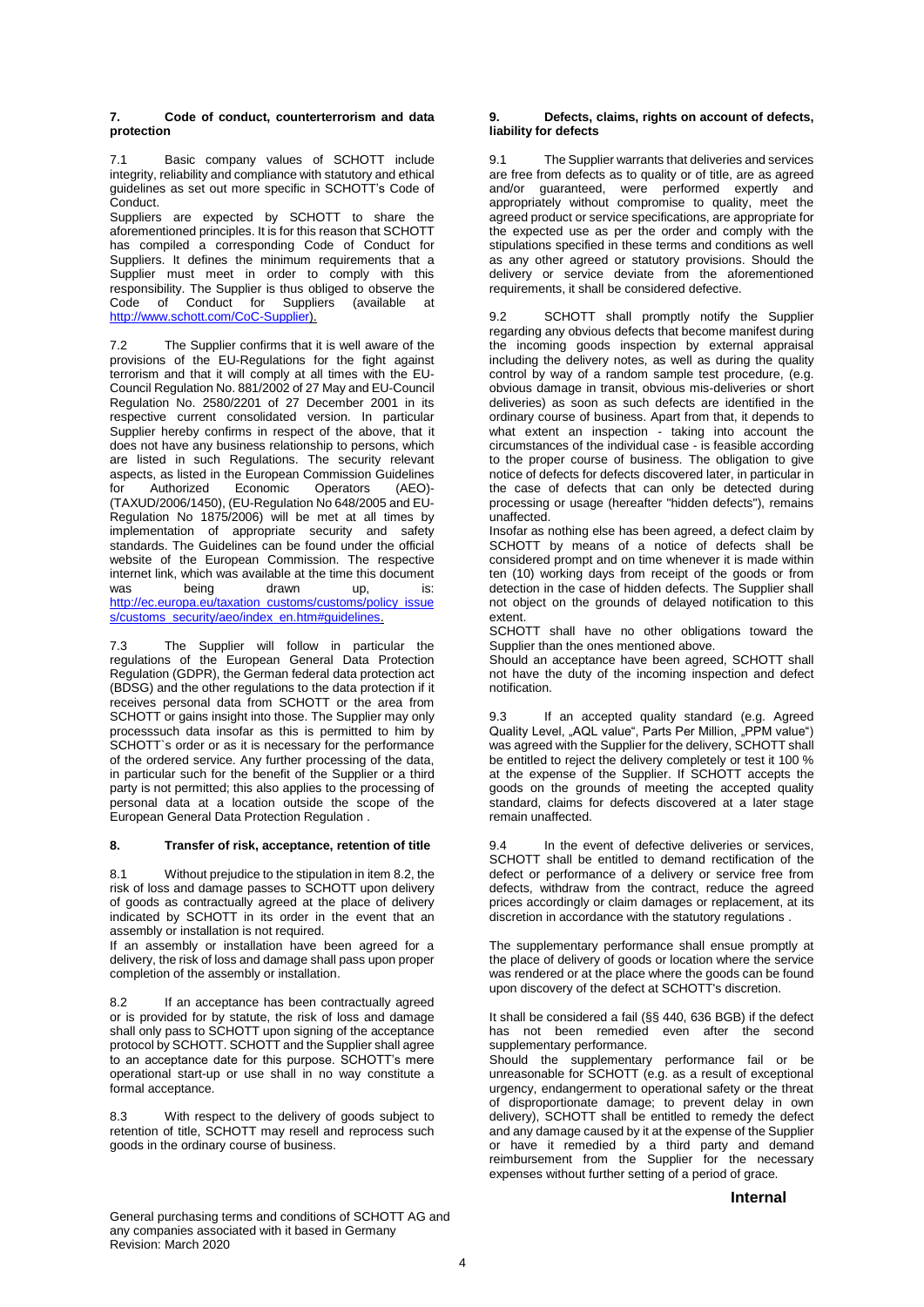#### **7. Code of conduct, counterterrorism and data protection**

7.1 Basic company values of SCHOTT include integrity, reliability and compliance with statutory and ethical guidelines as set out more specific in SCHOTT's Code of Conduct.

Suppliers are expected by SCHOTT to share the aforementioned principles. It is for this reason that SCHOTT has compiled a corresponding Code of Conduct for Suppliers. It defines the minimum requirements that a Supplier must meet in order to comply with this responsibility. The Supplier is thus obliged to observe the Code of Conduct for Suppliers (available at [http://www.schott.com/CoC-Supplier\)](http://www.schott.com/CoC-Supplier).

7.2 The Supplier confirms that it is well aware of the provisions of the EU-Regulations for the fight against terrorism and that it will comply at all times with the EU-Council Regulation No. 881/2002 of 27 May and EU-Council Regulation No. 2580/2201 of 27 December 2001 in its respective current consolidated version. In particular Supplier hereby confirms in respect of the above, that it does not have any business relationship to persons, which are listed in such Regulations. The security relevant aspects, as listed in the European Commission Guidelines<br>for Authorized Economic Operators (AEO)-**Authorized** (TAXUD/2006/1450), [\(EU-Regulation No 648/2005](http://eur-lex.europa.eu/LexUriServ/site/de/oj/2005/l_117/l_11720050504de00130019.pdf) an[d EU-](http://eur-lex.europa.eu/LexUriServ/site/de/oj/2006/l_360/l_36020061219de00640125.pdf)[Regulation No 1875/2006\)](http://eur-lex.europa.eu/LexUriServ/site/de/oj/2006/l_360/l_36020061219de00640125.pdf) will be met at all times by implementation of appropriate security and safety standards. The Guidelines can be found under the official website of the European Commission. The respective internet link, which was available at the time this document was being drawn up, is: [http://ec.europa.eu/taxation\\_customs/customs/policy\\_issue](http://ec.europa.eu/taxation_customs/customs/policy_issues/customs_security/aeo/index_en.htm#guidelines) [s/customs\\_security/aeo/index\\_en.htm#guidelines.](http://ec.europa.eu/taxation_customs/customs/policy_issues/customs_security/aeo/index_en.htm#guidelines)

7.3 The Supplier will follow in particular the regulations of the European General Data Protection Regulation (GDPR), the German federal data protection act (BDSG) and the other regulations to the data protection if it receives personal data from SCHOTT or the area from SCHOTT or gains insight into those. The Supplier may only processsuch data insofar as this is permitted to him by SCHOTT`s order or as it is necessary for the performance of the ordered service. Any further processing of the data, in particular such for the benefit of the Supplier or a third party is not permitted; this also applies to the processing of personal data at a location outside the scope of the European General Data Protection Regulation .

#### **8. Transfer of risk, acceptance, retention of title**

8.1 Without prejudice to the stipulation in item 8.2, the risk of loss and damage passes to SCHOTT upon delivery of goods as contractually agreed at the place of delivery indicated by SCHOTT in its order in the event that an assembly or installation is not required.

If an assembly or installation have been agreed for a delivery, the risk of loss and damage shall pass upon proper completion of the assembly or installation.

8.2 If an acceptance has been contractually agreed or is provided for by statute, the risk of loss and damage shall only pass to SCHOTT upon signing of the acceptance protocol by SCHOTT. SCHOTT and the Supplier shall agree to an acceptance date for this purpose. SCHOTT's mere operational start-up or use shall in no way constitute a formal acceptance.

8.3 With respect to the delivery of goods subject to retention of title, SCHOTT may resell and reprocess such goods in the ordinary course of business.

**9. Defects, claims, rights on account of defects, liability for defects**

9.1 The Supplier warrants that deliveries and services are free from defects as to quality or of title, are as agreed and/or guaranteed, were performed expertly and appropriately without compromise to quality, meet the agreed product or service specifications, are appropriate for the expected use as per the order and comply with the stipulations specified in these terms and conditions as well as any other agreed or statutory provisions. Should the delivery or service deviate from the aforementioned requirements, it shall be considered defective.

9.2 SCHOTT shall promptly notify the Supplier regarding any obvious defects that become manifest during the incoming goods inspection by external appraisal including the delivery notes, as well as during the quality control by way of a random sample test procedure, (e.g. obvious damage in transit, obvious mis-deliveries or short deliveries) as soon as such defects are identified in the ordinary course of business. Apart from that, it depends to what extent an inspection - taking into account the circumstances of the individual case - is feasible according to the proper course of business. The obligation to give notice of defects for defects discovered later, in particular in the case of defects that can only be detected during processing or usage (hereafter "hidden defects"), remains unaffected.

Insofar as nothing else has been agreed, a defect claim by SCHOTT by means of a notice of defects shall be considered prompt and on time whenever it is made within ten (10) working days from receipt of the goods or from detection in the case of hidden defects. The Supplier shall not object on the grounds of delayed notification to this extent.

SCHOTT shall have no other obligations toward the Supplier than the ones mentioned above.

Should an acceptance have been agreed, SCHOTT shall not have the duty of the incoming inspection and defect notification.

9.3 If an accepted quality standard (e.g. Agreed Quality Level, "AQL value", Parts Per Million, "PPM value") was agreed with the Supplier for the delivery, SCHOTT shall be entitled to reject the delivery completely or test it 100 % at the expense of the Supplier. If SCHOTT accepts the goods on the grounds of meeting the accepted quality standard, claims for defects discovered at a later stage remain unaffected.

9.4 In the event of defective deliveries or services, SCHOTT shall be entitled to demand rectification of the defect or performance of a delivery or service free from defects, withdraw from the contract, reduce the agreed prices accordingly or claim damages or replacement, at its discretion in accordance with the statutory regulations .

The supplementary performance shall ensue promptly at the place of delivery of goods or location where the service was rendered or at the place where the goods can be found upon discovery of the defect at SCHOTT's discretion.

It shall be considered a fail (§§ 440, 636 BGB) if the defect has not been remedied even after the second supplementary performance.

Should the supplementary performance fail or be unreasonable for SCHOTT (e.g. as a result of exceptional urgency, endangerment to operational safety or the threat of disproportionate damage; to prevent delay in own delivery), SCHOTT shall be entitled to remedy the defect and any damage caused by it at the expense of the Supplier or have it remedied by a third party and demand reimbursement from the Supplier for the necessary expenses without further setting of a period of grace.

**Internal**

General purchasing terms and conditions of SCHOTT AG and any companies associated with it based in Germany Revision: March 2020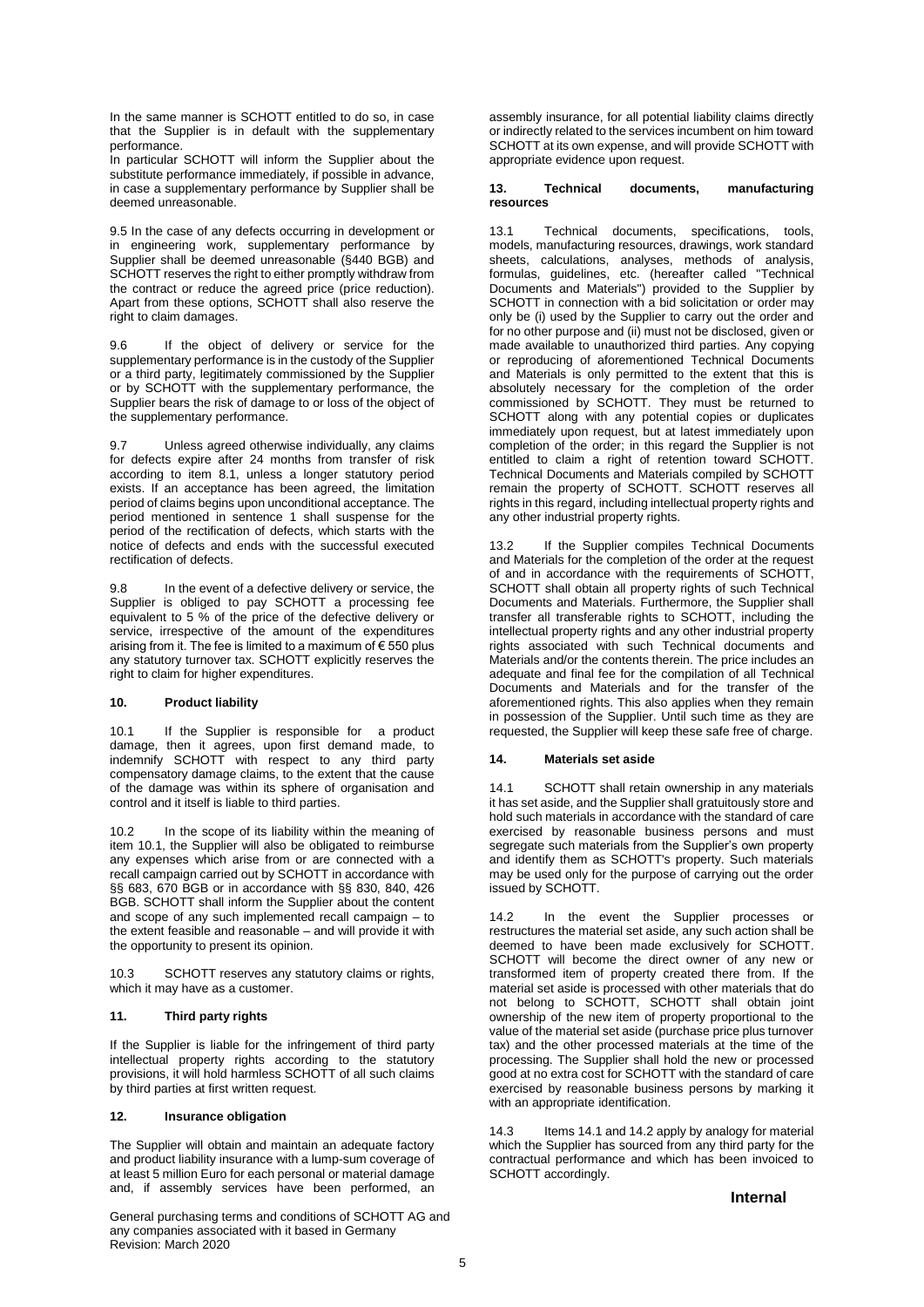In the same manner is SCHOTT entitled to do so, in case that the Supplier is in default with the supplementary performance.

In particular SCHOTT will inform the Supplier about the substitute performance immediately, if possible in advance, in case a supplementary performance by Supplier shall be deemed unreasonable.

9.5 In the case of any defects occurring in development or in engineering work, supplementary performance by Supplier shall be deemed unreasonable (§440 BGB) and SCHOTT reserves the right to either promptly withdraw from the contract or reduce the agreed price (price reduction). Apart from these options, SCHOTT shall also reserve the right to claim damages.

9.6 If the object of delivery or service for the supplementary performance is in the custody of the Supplier or a third party, legitimately commissioned by the Supplier or by SCHOTT with the supplementary performance, the Supplier bears the risk of damage to or loss of the object of the supplementary performance.

9.7 Unless agreed otherwise individually, any claims for defects expire after 24 months from transfer of risk according to item 8.1, unless a longer statutory period exists. If an acceptance has been agreed, the limitation period of claims begins upon unconditional acceptance. The period mentioned in sentence 1 shall suspense for the period of the rectification of defects, which starts with the notice of defects and ends with the successful executed rectification of defects.

9.8 In the event of a defective delivery or service, the Supplier is obliged to pay SCHOTT a processing fee equivalent to 5 % of the price of the defective delivery or service, irrespective of the amount of the expenditures arising from it. The fee is limited to a maximum of  $\epsilon$  550 plus any statutory turnover tax. SCHOTT explicitly reserves the right to claim for higher expenditures.

#### **10. Product liability**

10.1 If the Supplier is responsible for a product damage, then it agrees, upon first demand made, to indemnify SCHOTT with respect to any third party compensatory damage claims, to the extent that the cause of the damage was within its sphere of organisation and control and it itself is liable to third parties.

10.2 In the scope of its liability within the meaning of item 10.1, the Supplier will also be obligated to reimburse any expenses which arise from or are connected with a recall campaign carried out by SCHOTT in accordance with §§ 683, 670 BGB or in accordance with §§ 830, 840, 426 BGB. SCHOTT shall inform the Supplier about the content and scope of any such implemented recall campaign – to the extent feasible and reasonable – and will provide it with the opportunity to present its opinion.

10.3 SCHOTT reserves any statutory claims or rights, which it may have as a customer.

# **11. Third party rights**

If the Supplier is liable for the infringement of third party intellectual property rights according to the statutory provisions, it will hold harmless SCHOTT of all such claims by third parties at first written request.

## **12. Insurance obligation**

The Supplier will obtain and maintain an adequate factory and product liability insurance with a lump-sum coverage of at least 5 million Euro for each personal or material damage and, if assembly services have been performed, an

General purchasing terms and conditions of SCHOTT AG and any companies associated with it based in Germany Revision: March 2020

assembly insurance, for all potential liability claims directly or indirectly related to the services incumbent on him toward SCHOTT at its own expense, and will provide SCHOTT with appropriate evidence upon request.

#### **13. Technical documents, manufacturing resources**

13.1 Technical documents, specifications, tools, models, manufacturing resources, drawings, work standard sheets, calculations, analyses, methods of analysis, formulas, guidelines, etc. (hereafter called "Technical Documents and Materials") provided to the Supplier by SCHOTT in connection with a bid solicitation or order may only be (i) used by the Supplier to carry out the order and for no other purpose and (ii) must not be disclosed, given or made available to unauthorized third parties. Any copying or reproducing of aforementioned Technical Documents and Materials is only permitted to the extent that this is absolutely necessary for the completion of the order commissioned by SCHOTT. They must be returned to SCHOTT along with any potential copies or duplicates immediately upon request, but at latest immediately upon completion of the order; in this regard the Supplier is not entitled to claim a right of retention toward SCHOTT. Technical Documents and Materials compiled by SCHOTT remain the property of SCHOTT. SCHOTT reserves all rights in this regard, including intellectual property rights and any other industrial property rights.

13.2 If the Supplier compiles Technical Documents and Materials for the completion of the order at the request of and in accordance with the requirements of SCHOTT, SCHOTT shall obtain all property rights of such Technical Documents and Materials. Furthermore, the Supplier shall transfer all transferable rights to SCHOTT, including the intellectual property rights and any other industrial property rights associated with such Technical documents and Materials and/or the contents therein. The price includes an adequate and final fee for the compilation of all Technical Documents and Materials and for the transfer of the aforementioned rights. This also applies when they remain in possession of the Supplier. Until such time as they are requested, the Supplier will keep these safe free of charge.

#### **14. Materials set aside**

14.1 SCHOTT shall retain ownership in any materials it has set aside, and the Supplier shall gratuitously store and hold such materials in accordance with the standard of care exercised by reasonable business persons and must segregate such materials from the Supplier's own property and identify them as SCHOTT's property. Such materials may be used only for the purpose of carrying out the order issued by SCHOTT.

14.2 In the event the Supplier processes or restructures the material set aside, any such action shall be deemed to have been made exclusively for SCHOTT. SCHOTT will become the direct owner of any new or transformed item of property created there from. If the material set aside is processed with other materials that do not belong to SCHOTT, SCHOTT shall obtain joint ownership of the new item of property proportional to the value of the material set aside (purchase price plus turnover tax) and the other processed materials at the time of the processing. The Supplier shall hold the new or processed good at no extra cost for SCHOTT with the standard of care exercised by reasonable business persons by marking it with an appropriate identification.

14.3 Items 14.1 and 14.2 apply by analogy for material which the Supplier has sourced from any third party for the contractual performance and which has been invoiced to SCHOTT accordingly.

# **Internal**